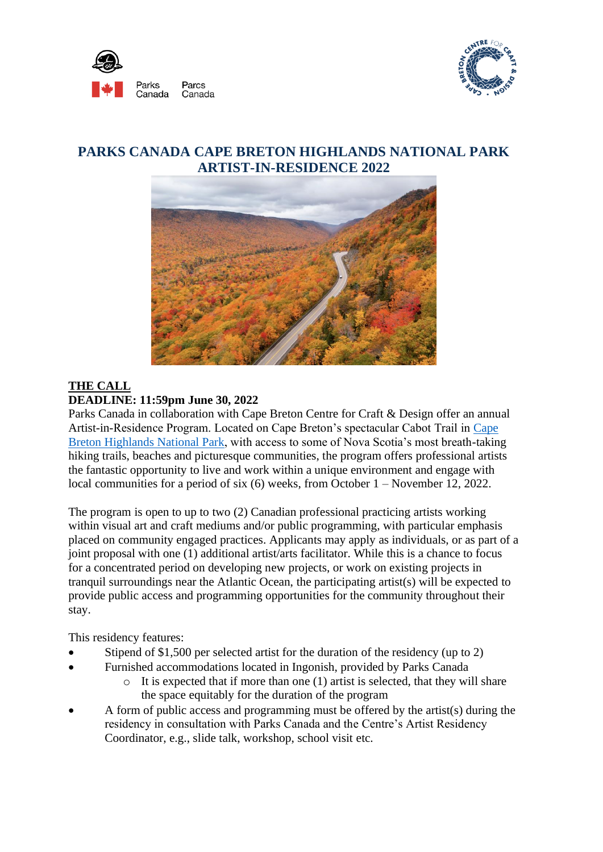



## **PARKS CANADA CAPE BRETON HIGHLANDS NATIONAL PARK ARTIST-IN-RESIDENCE 2022**



## **THE CALL DEADLINE: 11:59pm June 30, 2022**

Parks Canada in collaboration with Cape Breton Centre for Craft & Design offer an annual Artist-in-Residence Program. Located on Cape Breton's spectacular Cabot Trail in [Cape](https://www.pc.gc.ca/en/pn-np/ns/cbreton/)  [Breton Highlands National Park,](https://www.pc.gc.ca/en/pn-np/ns/cbreton/) with access to some of Nova Scotia's most breath-taking hiking trails, beaches and picturesque communities, the program offers professional artists the fantastic opportunity to live and work within a unique environment and engage with local communities for a period of six (6) weeks, from October 1 – November 12, 2022.

The program is open to up to two (2) Canadian professional practicing artists working within visual art and craft mediums and/or public programming, with particular emphasis placed on community engaged practices. Applicants may apply as individuals, or as part of a joint proposal with one (1) additional artist/arts facilitator. While this is a chance to focus for a concentrated period on developing new projects, or work on existing projects in tranquil surroundings near the Atlantic Ocean, the participating artist(s) will be expected to provide public access and programming opportunities for the community throughout their stay.

This residency features:

- Stipend of \$1,500 per selected artist for the duration of the residency (up to 2)
- Furnished accommodations located in Ingonish, provided by Parks Canada
	- $\circ$  It is expected that if more than one (1) artist is selected, that they will share the space equitably for the duration of the program
- A form of public access and programming must be offered by the artist(s) during the residency in consultation with Parks Canada and the Centre's Artist Residency Coordinator, e.g., slide talk, workshop, school visit etc.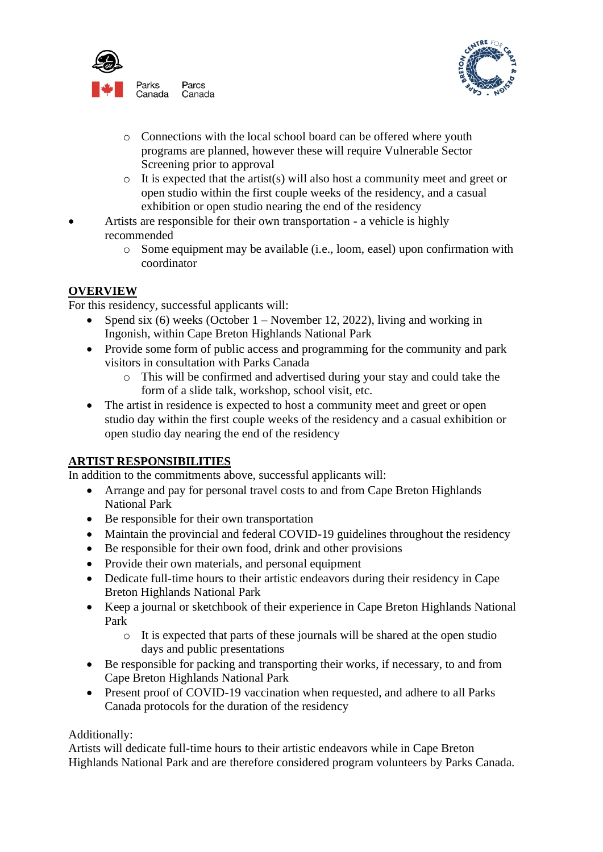



- o Connections with the local school board can be offered where youth programs are planned, however these will require Vulnerable Sector Screening prior to approval
- $\circ$  It is expected that the artist(s) will also host a community meet and greet or open studio within the first couple weeks of the residency, and a casual exhibition or open studio nearing the end of the residency
- Artists are responsible for their own transportation a vehicle is highly recommended
	- o Some equipment may be available (i.e., loom, easel) upon confirmation with coordinator

### **OVERVIEW**

For this residency, successful applicants will:

- Spend six (6) weeks (October  $1 -$  November 12, 2022), living and working in Ingonish, within Cape Breton Highlands National Park
- Provide some form of public access and programming for the community and park visitors in consultation with Parks Canada
	- o This will be confirmed and advertised during your stay and could take the form of a slide talk, workshop, school visit, etc.
- The artist in residence is expected to host a community meet and greet or open studio day within the first couple weeks of the residency and a casual exhibition or open studio day nearing the end of the residency

#### **ARTIST RESPONSIBILITIES**

In addition to the commitments above, successful applicants will:

- Arrange and pay for personal travel costs to and from Cape Breton Highlands National Park
- Be responsible for their own transportation
- Maintain the provincial and federal COVID-19 guidelines throughout the residency
- Be responsible for their own food, drink and other provisions
- Provide their own materials, and personal equipment
- Dedicate full-time hours to their artistic endeavors during their residency in Cape Breton Highlands National Park
- Keep a journal or sketchbook of their experience in Cape Breton Highlands National Park
	- o It is expected that parts of these journals will be shared at the open studio days and public presentations
- Be responsible for packing and transporting their works, if necessary, to and from Cape Breton Highlands National Park
- Present proof of COVID-19 vaccination when requested, and adhere to all Parks Canada protocols for the duration of the residency

#### Additionally:

Artists will dedicate full-time hours to their artistic endeavors while in Cape Breton Highlands National Park and are therefore considered program volunteers by Parks Canada.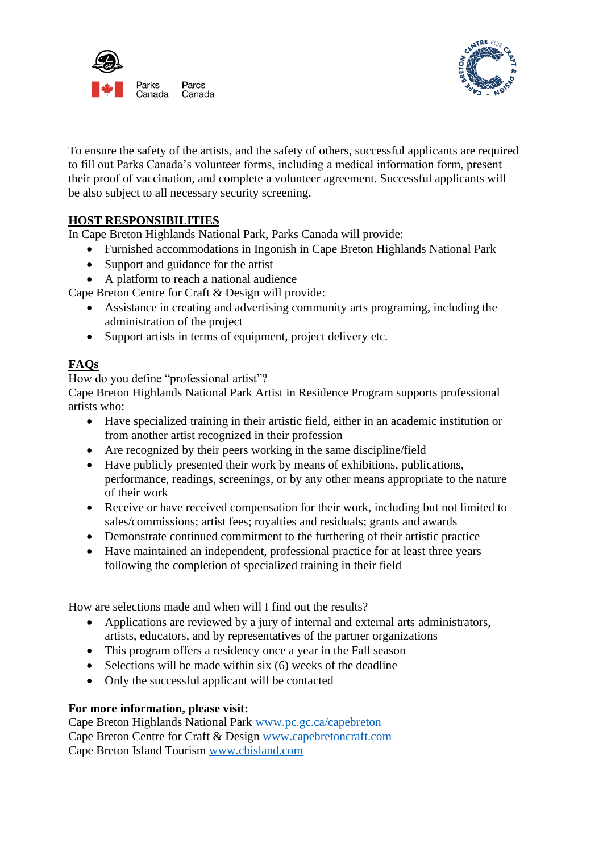



To ensure the safety of the artists, and the safety of others, successful applicants are required to fill out Parks Canada's volunteer forms, including a medical information form, present their proof of vaccination, and complete a volunteer agreement. Successful applicants will be also subject to all necessary security screening.

### **HOST RESPONSIBILITIES**

In Cape Breton Highlands National Park, Parks Canada will provide:

- Furnished accommodations in Ingonish in Cape Breton Highlands National Park
- Support and guidance for the artist
- A platform to reach a national audience

Cape Breton Centre for Craft & Design will provide:

- Assistance in creating and advertising community arts programing, including the administration of the project
- Support artists in terms of equipment, project delivery etc.

## **FAQs**

How do you define "professional artist"?

Cape Breton Highlands National Park Artist in Residence Program supports professional artists who:

- Have specialized training in their artistic field, either in an academic institution or from another artist recognized in their profession
- Are recognized by their peers working in the same discipline/field
- Have publicly presented their work by means of exhibitions, publications, performance, readings, screenings, or by any other means appropriate to the nature of their work
- Receive or have received compensation for their work, including but not limited to sales/commissions; artist fees; royalties and residuals; grants and awards
- Demonstrate continued commitment to the furthering of their artistic practice
- Have maintained an independent, professional practice for at least three years following the completion of specialized training in their field

How are selections made and when will I find out the results?

- Applications are reviewed by a jury of internal and external arts administrators, artists, educators, and by representatives of the partner organizations
- This program offers a residency once a year in the Fall season
- Selections will be made within six (6) weeks of the deadline
- Only the successful applicant will be contacted

#### **For more information, please visit:**

Cape Breton Highlands National Park [www.pc.gc.ca/capebreton](http://www.pc.gc.ca/capebreton) Cape Breton Centre for Craft & Design [www.capebretoncraft.com](http://www.capebretoncraft.com/) Cape Breton Island Tourism [www.cbisland.com](http://www.cbisland.com/)